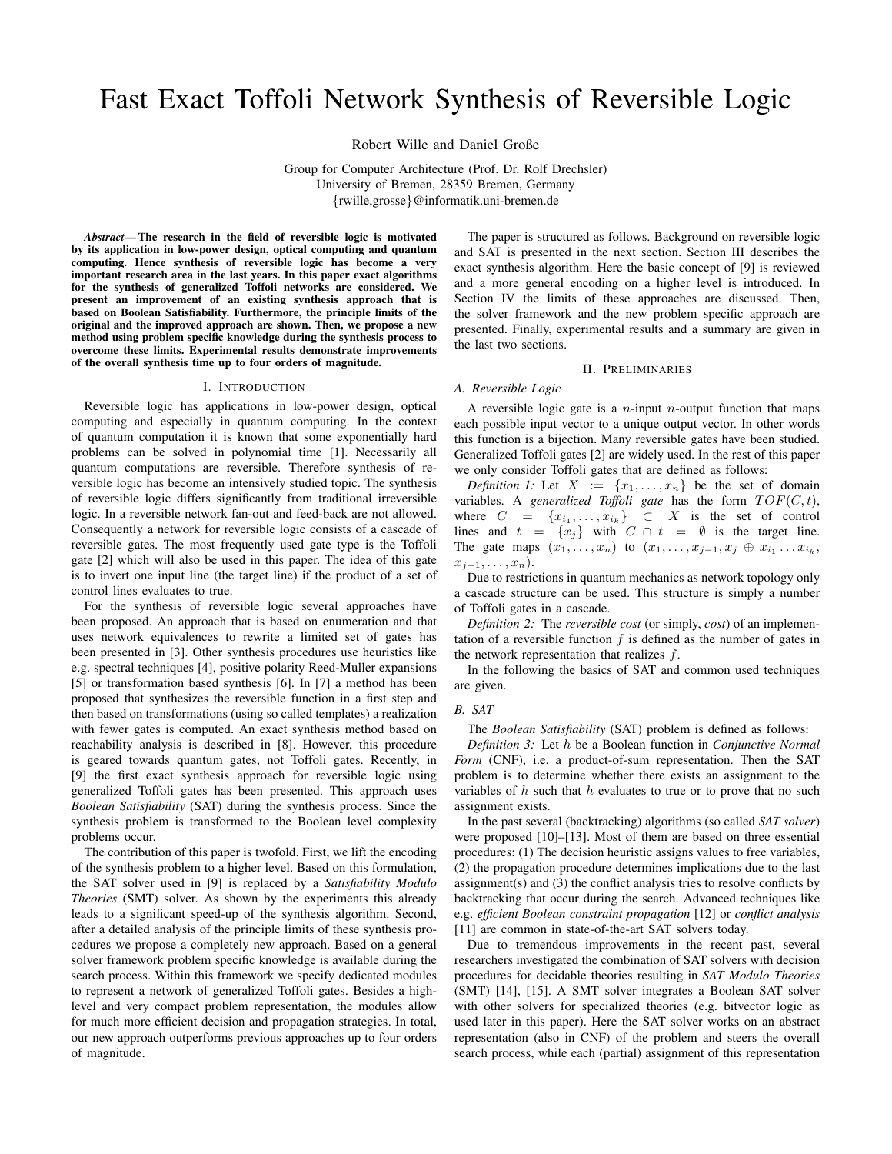# Fast Exact Toffoli Network Synthesis of Reversible Logic

Robert Wille and Daniel Große

Group for Computer Architecture (Prof. Dr. Rolf Drechsler) University of Bremen, 28359 Bremen, Germany {rwille,grosse}@informatik.uni-bremen.de

*Abstract*— The research in the field of reversible logic is motivated by its application in low-power design, optical computing and quantum computing. Hence synthesis of reversible logic has become a very important research area in the last years. In this paper exact algorithms for the synthesis of generalized Toffoli networks are considered. We present an improvement of an existing synthesis approach that is based on Boolean Satisfiability. Furthermore, the principle limits of the original and the improved approach are shown. Then, we propose a new method using problem specific knowledge during the synthesis process to overcome these limits. Experimental results demonstrate improvements of the overall synthesis time up to four orders of magnitude.

#### I. INTRODUCTION

Reversible logic has applications in low-power design, optical computing and especially in quantum computing. In the context of quantum computation it is known that some exponentially hard problems can be solved in polynomial time [1]. Necessarily all quantum computations are reversible. Therefore synthesis of reversible logic has become an intensively studied topic. The synthesis of reversible logic differs significantly from traditional irreversible logic. In a reversible network fan-out and feed-back are not allowed. Consequently a network for reversible logic consists of a cascade of reversible gates. The most frequently used gate type is the Toffoli gate [2] which will also be used in this paper. The idea of this gate is to invert one input line (the target line) if the product of a set of control lines evaluates to true.

For the synthesis of reversible logic several approaches have been proposed. An approach that is based on enumeration and that uses network equivalences to rewrite a limited set of gates has been presented in [3]. Other synthesis procedures use heuristics like e.g. spectral techniques [4], positive polarity Reed-Muller expansions [5] or transformation based synthesis [6]. In [7] a method has been proposed that synthesizes the reversible function in a first step and then based on transformations (using so called templates) a realization with fewer gates is computed. An exact synthesis method based on reachability analysis is described in [8]. However, this procedure is geared towards quantum gates, not Toffoli gates. Recently, in [9] the first exact synthesis approach for reversible logic using generalized Toffoli gates has been presented. This approach uses *Boolean Satisfiability* (SAT) during the synthesis process. Since the synthesis problem is transformed to the Boolean level complexity problems occur.

The contribution of this paper is twofold. First, we lift the encoding of the synthesis problem to a higher level. Based on this formulation, the SAT solver used in [9] is replaced by a *Satisfiability Modulo Theories* (SMT) solver. As shown by the experiments this already leads to a significant speed-up of the synthesis algorithm. Second, after a detailed analysis of the principle limits of these synthesis procedures we propose a completely new approach. Based on a general solver framework problem specific knowledge is available during the search process. Within this framework we specify dedicated modules to represent a network of generalized Toffoli gates. Besides a highlevel and very compact problem representation, the modules allow for much more efficient decision and propagation strategies. In total, our new approach outperforms previous approaches up to four orders of magnitude.

The paper is structured as follows. Background on reversible logic and SAT is presented in the next section. Section III describes the exact synthesis algorithm. Here the basic concept of [9] is reviewed and a more general encoding on a higher level is introduced. In Section IV the limits of these approaches are discussed. Then, the solver framework and the new problem specific approach are presented. Finally, experimental results and a summary are given in the last two sections.

# II. PRELIMINARIES

#### *A. Reversible Logic*

A reversible logic gate is a  $n$ -input  $n$ -output function that maps each possible input vector to a unique output vector. In other words this function is a bijection. Many reversible gates have been studied. Generalized Toffoli gates [2] are widely used. In the rest of this paper we only consider Toffoli gates that are defined as follows:

*Definition 1:* Let  $X := \{x_1, \ldots, x_n\}$  be the set of domain variables. A *generalized Toffoli gate* has the form  $TOF(C, t)$ , where  $C = \{x_{i_1}, \ldots, x_{i_k}\} \subset X$  is the set of control lines and  $t = \{x_j\}$  with  $C \cap t = \emptyset$  is the target line. The gate maps  $(x_1, ..., x_n)$  to  $(x_1, ..., x_{j-1}, x_j \oplus x_{i_1} ... x_{i_k},$  $x_{j+1}, \ldots, x_n$ ).

Due to restrictions in quantum mechanics as network topology only a cascade structure can be used. This structure is simply a number of Toffoli gates in a cascade.

*Definition 2:* The *reversible cost* (or simply, *cost*) of an implementation of a reversible function  $f$  is defined as the number of gates in the network representation that realizes  $f$ .

In the following the basics of SAT and common used techniques are given.

#### *B. SAT*

The *Boolean Satisfiability* (SAT) problem is defined as follows:

*Definition 3:* Let h be a Boolean function in *Conjunctive Normal Form* (CNF), i.e. a product-of-sum representation. Then the SAT problem is to determine whether there exists an assignment to the variables of  $h$  such that  $h$  evaluates to true or to prove that no such assignment exists.

In the past several (backtracking) algorithms (so called *SAT solver*) were proposed [10]–[13]. Most of them are based on three essential procedures: (1) The decision heuristic assigns values to free variables, (2) the propagation procedure determines implications due to the last assignment(s) and (3) the conflict analysis tries to resolve conflicts by backtracking that occur during the search. Advanced techniques like e.g. *efficient Boolean constraint propagation* [12] or *conflict analysis* [11] are common in state-of-the-art SAT solvers today.

Due to tremendous improvements in the recent past, several researchers investigated the combination of SAT solvers with decision procedures for decidable theories resulting in *SAT Modulo Theories* (SMT) [14], [15]. A SMT solver integrates a Boolean SAT solver with other solvers for specialized theories (e.g. bitvector logic as used later in this paper). Here the SAT solver works on an abstract representation (also in CNF) of the problem and steers the overall search process, while each (partial) assignment of this representation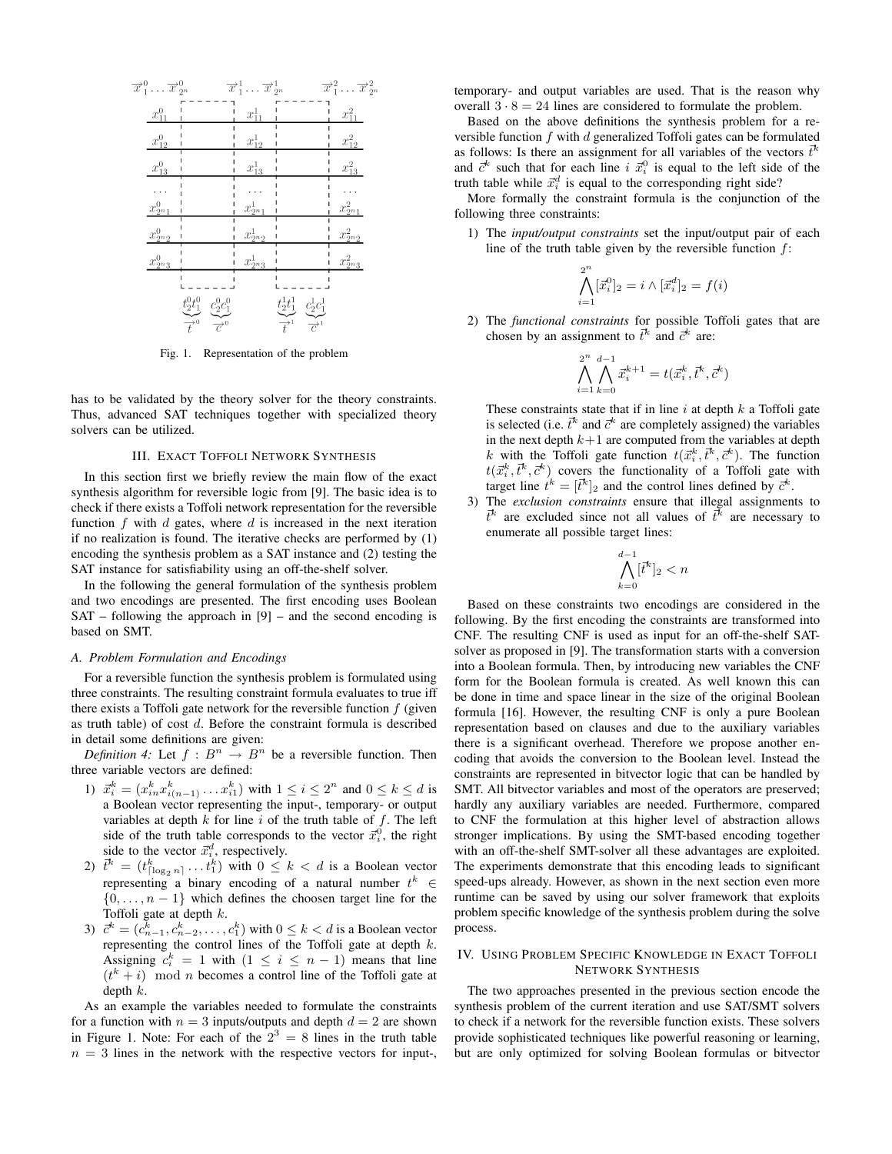

Fig. 1. Representation of the problem

has to be validated by the theory solver for the theory constraints. Thus, advanced SAT techniques together with specialized theory solvers can be utilized.

# III. EXACT TOFFOLI NETWORK SYNTHESIS

In this section first we briefly review the main flow of the exact synthesis algorithm for reversible logic from [9]. The basic idea is to check if there exists a Toffoli network representation for the reversible function  $f$  with  $d$  gates, where  $d$  is increased in the next iteration if no realization is found. The iterative checks are performed by (1) encoding the synthesis problem as a SAT instance and (2) testing the SAT instance for satisfiability using an off-the-shelf solver.

In the following the general formulation of the synthesis problem and two encodings are presented. The first encoding uses Boolean  $SAT - following$  the approach in  $[9] -$  and the second encoding is based on SMT.

#### *A. Problem Formulation and Encodings*

For a reversible function the synthesis problem is formulated using three constraints. The resulting constraint formula evaluates to true iff there exists a Toffoli gate network for the reversible function  $f$  (given as truth table) of cost d. Before the constraint formula is described in detail some definitions are given:

*Definition 4:* Let  $f : B^n \to B^n$  be a reversible function. Then three variable vectors are defined:

- 1)  $\vec{x}_i^k = (x_{in}^k x_{i(n-1)}^k \dots x_{i1}^k)$  with  $1 \le i \le 2^n$  and  $0 \le k \le d$  is a Boolean vector representing the input-, temporary- or output variables at depth  $k$  for line  $i$  of the truth table of  $f$ . The left side of the truth table corresponds to the vector  $\vec{x}_i^0$ , the right side to the vector  $\vec{x}_i^d$ , respectively.
- 2)  $\vec{t}^k = (t_{\lceil \log_2 n \rceil}^k \dots t_1^k)$  with  $0 \leq k < d$  is a Boolean vector representing a binary encoding of a natural number  $t^k \in$  $\{0, \ldots, n-1\}$  which defines the choosen target line for the Toffoli gate at depth  $k$ .
- 3)  $\vec{c}^k = (c_{n-1}^k, c_{n-2}^k, \dots, c_1^k)$  with  $0 \le k < d$  is a Boolean vector representing the control lines of the Toffoli gate at depth  $k$ . Assigning  $c_i^k = 1$  with  $(1 \le i \le n - 1)$  means that line  $(t<sup>k</sup> + i)$  mod *n* becomes a control line of the Toffoli gate at depth k.

As an example the variables needed to formulate the constraints for a function with  $n = 3$  inputs/outputs and depth  $d = 2$  are shown in Figure 1. Note: For each of the  $2^3 = 8$  lines in the truth table  $n = 3$  lines in the network with the respective vectors for input-,

temporary- and output variables are used. That is the reason why overall  $3 \cdot 8 = 24$  lines are considered to formulate the problem.

Based on the above definitions the synthesis problem for a reversible function  $f$  with  $d$  generalized Toffoli gates can be formulated as follows: Is there an assignment for all variables of the vectors  $\vec{t}^k$ and  $\vec{c}^k$  such that for each line i  $\vec{x}_i^0$  is equal to the left side of the truth table while  $\vec{x}_i^d$  is equal to the corresponding right side?

More formally the constraint formula is the conjunction of the following three constraints:

1) The *input/output constraints* set the input/output pair of each line of the truth table given by the reversible function  $f$ :

$$
\bigwedge_{i=1}^{2^n} [\vec{x}_i^0]_2 = i \wedge [\vec{x}_i^d]_2 = f(i)
$$

2) The *functional constraints* for possible Toffoli gates that are chosen by an assignment to  $\vec{t}^k$  and  $\vec{c}^k$  are:

$$
\bigwedge_{i=1}^{2^n}\bigwedge_{k=0}^{d-1}\vec{x}_i^{k+1}=t(\vec{x}_i^k,\vec{t}^k,\vec{c}^k)
$$

These constraints state that if in line  $i$  at depth  $k$  a Toffoli gate is selected (i.e.  $\vec{t}^k$  and  $\vec{c}^k$  are completely assigned) the variables in the next depth  $k+1$  are computed from the variables at depth k with the Toffoli gate function  $t(\vec{x}_i^k, \vec{t}^k, \vec{c}^k)$ . The function  $t(\vec{x}_i^k, \vec{t}^k, \vec{c}^k)$  covers the functionality of a Toffoli gate with target line  $t^k = [\vec{t}^k]_2$  and the control lines defined by  $\vec{c}^k$ .

3) The *exclusion constraints* ensure that illegal assignments to  $\vec{t}^k$  are excluded since not all values of  $\vec{t}^k$  are necessary to enumerate all possible target lines:

$$
\bigwedge_{k=0}^{d-1} [\bar{t}^k]_2 < n
$$

Based on these constraints two encodings are considered in the following. By the first encoding the constraints are transformed into CNF. The resulting CNF is used as input for an off-the-shelf SATsolver as proposed in [9]. The transformation starts with a conversion into a Boolean formula. Then, by introducing new variables the CNF form for the Boolean formula is created. As well known this can be done in time and space linear in the size of the original Boolean formula [16]. However, the resulting CNF is only a pure Boolean representation based on clauses and due to the auxiliary variables there is a significant overhead. Therefore we propose another encoding that avoids the conversion to the Boolean level. Instead the constraints are represented in bitvector logic that can be handled by SMT. All bitvector variables and most of the operators are preserved; hardly any auxiliary variables are needed. Furthermore, compared to CNF the formulation at this higher level of abstraction allows stronger implications. By using the SMT-based encoding together with an off-the-shelf SMT-solver all these advantages are exploited. The experiments demonstrate that this encoding leads to significant speed-ups already. However, as shown in the next section even more runtime can be saved by using our solver framework that exploits problem specific knowledge of the synthesis problem during the solve process.

# IV. USING PROBLEM SPECIFIC KNOWLEDGE IN EXACT TOFFOLI NETWORK SYNTHESIS

The two approaches presented in the previous section encode the synthesis problem of the current iteration and use SAT/SMT solvers to check if a network for the reversible function exists. These solvers provide sophisticated techniques like powerful reasoning or learning, but are only optimized for solving Boolean formulas or bitvector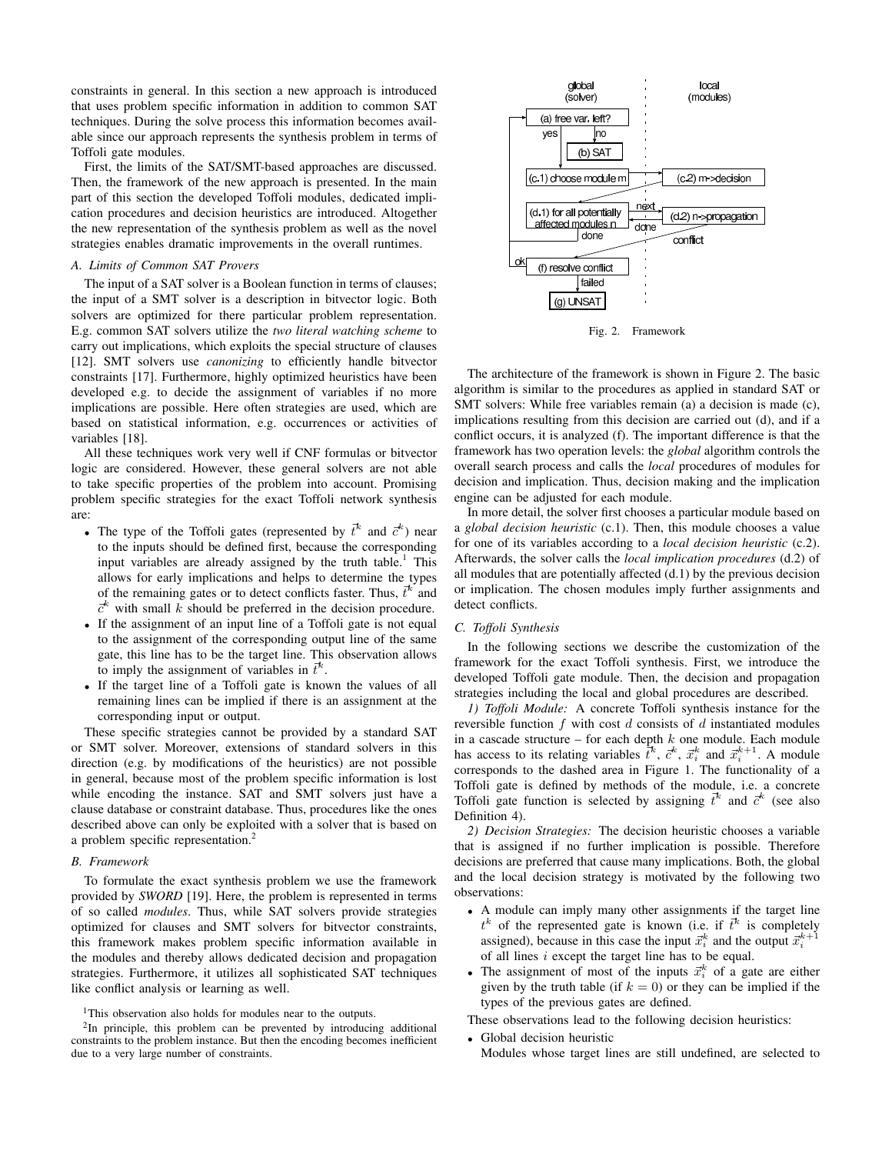constraints in general. In this section a new approach is introduced that uses problem specific information in addition to common SAT techniques. During the solve process this information becomes available since our approach represents the synthesis problem in terms of Toffoli gate modules.

First, the limits of the SAT/SMT-based approaches are discussed. Then, the framework of the new approach is presented. In the main part of this section the developed Toffoli modules, dedicated implication procedures and decision heuristics are introduced. Altogether the new representation of the synthesis problem as well as the novel strategies enables dramatic improvements in the overall runtimes.

# *A. Limits of Common SAT Provers*

The input of a SAT solver is a Boolean function in terms of clauses; the input of a SMT solver is a description in bitvector logic. Both solvers are optimized for there particular problem representation. E.g. common SAT solvers utilize the *two literal watching scheme* to carry out implications, which exploits the special structure of clauses [12]. SMT solvers use *canonizing* to efficiently handle bitvector constraints [17]. Furthermore, highly optimized heuristics have been developed e.g. to decide the assignment of variables if no more implications are possible. Here often strategies are used, which are based on statistical information, e.g. occurrences or activities of variables [18].

All these techniques work very well if CNF formulas or bitvector logic are considered. However, these general solvers are not able to take specific properties of the problem into account. Promising problem specific strategies for the exact Toffoli network synthesis are:

- The type of the Toffoli gates (represented by  $\vec{t}^k$  and  $\vec{c}^k$ ) near to the inputs should be defined first, because the corresponding input variables are already assigned by the truth table.<sup>1</sup> This allows for early implications and helps to determine the types of the remaining gates or to detect conflicts faster. Thus,  $\vec{t}^k$  and  $\vec{c}^k$  with small k should be preferred in the decision procedure.
- If the assignment of an input line of a Toffoli gate is not equal to the assignment of the corresponding output line of the same gate, this line has to be the target line. This observation allows to imply the assignment of variables in  $\vec{t}^k$ .
- If the target line of a Toffoli gate is known the values of all remaining lines can be implied if there is an assignment at the corresponding input or output.

These specific strategies cannot be provided by a standard SAT or SMT solver. Moreover, extensions of standard solvers in this direction (e.g. by modifications of the heuristics) are not possible in general, because most of the problem specific information is lost while encoding the instance. SAT and SMT solvers just have a clause database or constraint database. Thus, procedures like the ones described above can only be exploited with a solver that is based on a problem specific representation.<sup>2</sup>

#### *B. Framework*

To formulate the exact synthesis problem we use the framework provided by *SWORD* [19]. Here, the problem is represented in terms of so called *modules*. Thus, while SAT solvers provide strategies optimized for clauses and SMT solvers for bitvector constraints, this framework makes problem specific information available in the modules and thereby allows dedicated decision and propagation strategies. Furthermore, it utilizes all sophisticated SAT techniques like conflict analysis or learning as well.

<sup>1</sup>This observation also holds for modules near to the outputs.



Fig. 2. Framework

The architecture of the framework is shown in Figure 2. The basic algorithm is similar to the procedures as applied in standard SAT or SMT solvers: While free variables remain (a) a decision is made (c), implications resulting from this decision are carried out (d), and if a conflict occurs, it is analyzed (f). The important difference is that the framework has two operation levels: the *global* algorithm controls the overall search process and calls the *local* procedures of modules for decision and implication. Thus, decision making and the implication engine can be adjusted for each module.

In more detail, the solver first chooses a particular module based on a *global decision heuristic* (c.1). Then, this module chooses a value for one of its variables according to a *local decision heuristic* (c.2). Afterwards, the solver calls the *local implication procedures* (d.2) of all modules that are potentially affected (d.1) by the previous decision or implication. The chosen modules imply further assignments and detect conflicts.

# *C. Toffoli Synthesis*

In the following sections we describe the customization of the framework for the exact Toffoli synthesis. First, we introduce the developed Toffoli gate module. Then, the decision and propagation strategies including the local and global procedures are described.

*1) Toffoli Module:* A concrete Toffoli synthesis instance for the reversible function  $f$  with cost  $d$  consists of  $d$  instantiated modules in a cascade structure – for each depth  $k$  one module. Each module has access to its relating variables  $\bar{t}^k$ ,  $\bar{c}^k$ ,  $\bar{c}^k$ , and  $\bar{x}_i^{k+1}$ . A module corresponds to the dashed area in Figure 1. The functionality of a Toffoli gate is defined by methods of the module, i.e. a concrete Toffoli gate function is selected by assigning  $\vec{t}^k$  and  $\vec{c}^k$  (see also Definition 4).

*2) Decision Strategies:* The decision heuristic chooses a variable that is assigned if no further implication is possible. Therefore decisions are preferred that cause many implications. Both, the global and the local decision strategy is motivated by the following two observations:

- A module can imply many other assignments if the target line  $t^k$  of the represented gate is known (i.e. if  $\vec{t}^k$  is completely assigned), because in this case the input  $\vec{x}_i^k$  and the output  $\vec{x}_i^{k+1}$ of all lines  $i$  except the target line has to be equal.
- The assignment of most of the inputs  $\vec{x}_i^k$  of a gate are either given by the truth table (if  $k = 0$ ) or they can be implied if the types of the previous gates are defined.

These observations lead to the following decision heuristics:

- Global decision heuristic
- Modules whose target lines are still undefined, are selected to

<sup>&</sup>lt;sup>2</sup>In principle, this problem can be prevented by introducing additional constraints to the problem instance. But then the encoding becomes inefficient due to a very large number of constraints.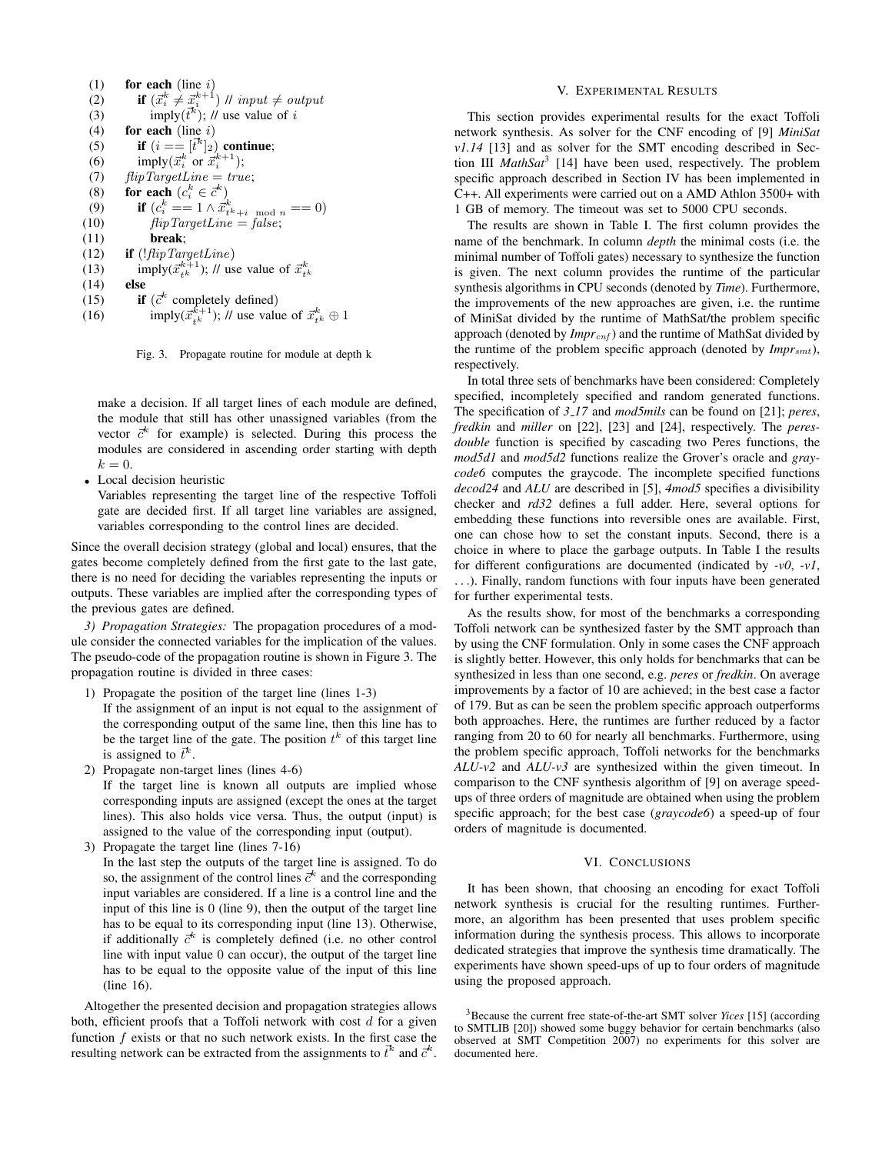(1) for each (line  $i$ ) (2) if  $(\vec{x}_i^k \neq \vec{x}_i^{k+1})$  // input  $\neq$  output (3) imply( $\bar{t}^k$ ); // use value of i (4) for each (line  $i$ ) (5) if  $(i == [t^k]_2)$  continue; (6) imply $(\vec{x}_i^k \text{ or } \vec{x}_i^{k+1});$ (7)  $flipTargetLine = true;$ (8) for each  $(c_i^k \in \vec{c}^k)$ (9) if  $(c_i^k == 1 \wedge \vec{x}_{t^k+i \mod n}^k == 0)$ (10)  $flipTargetLine = false;$ (11) break; (12) if  $(!\text{flipTargetLine})$ (13) imply( $\vec{x}_{t^k}^{k+1}$ ); // use value of  $\vec{x}_{t^k}^k$ (14) else (15) if  $(\vec{c}^k$  completely defined) (16) imply( $\vec{x}_{t^k}^{k+1}$ ); // use value of  $\vec{x}_{t^k}^k \oplus 1$ 

Fig. 3. Propagate routine for module at depth k

make a decision. If all target lines of each module are defined, the module that still has other unassigned variables (from the vector  $\vec{c}^k$  for example) is selected. During this process the modules are considered in ascending order starting with depth  $k=0.$ 

• Local decision heuristic

Variables representing the target line of the respective Toffoli gate are decided first. If all target line variables are assigned, variables corresponding to the control lines are decided.

Since the overall decision strategy (global and local) ensures, that the gates become completely defined from the first gate to the last gate, there is no need for deciding the variables representing the inputs or outputs. These variables are implied after the corresponding types of the previous gates are defined.

*3) Propagation Strategies:* The propagation procedures of a module consider the connected variables for the implication of the values. The pseudo-code of the propagation routine is shown in Figure 3. The propagation routine is divided in three cases:

1) Propagate the position of the target line (lines 1-3)

If the assignment of an input is not equal to the assignment of the corresponding output of the same line, then this line has to be the target line of the gate. The position  $t^k$  of this target line is assigned to  $\vec{t}^k$ .

2) Propagate non-target lines (lines 4-6)

If the target line is known all outputs are implied whose corresponding inputs are assigned (except the ones at the target lines). This also holds vice versa. Thus, the output (input) is assigned to the value of the corresponding input (output).

3) Propagate the target line (lines 7-16)

In the last step the outputs of the target line is assigned. To do so, the assignment of the control lines  $\vec{c}^k$  and the corresponding input variables are considered. If a line is a control line and the input of this line is 0 (line 9), then the output of the target line has to be equal to its corresponding input (line 13). Otherwise, if additionally  $\vec{c}^k$  is completely defined (i.e. no other control line with input value 0 can occur), the output of the target line has to be equal to the opposite value of the input of this line (line 16).

Altogether the presented decision and propagation strategies allows both, efficient proofs that a Toffoli network with cost  $d$  for a given function  $f$  exists or that no such network exists. In the first case the resulting network can be extracted from the assignments to  $\vec{t}^k$  and  $\vec{c}^k$ .

#### V. EXPERIMENTAL RESULTS

This section provides experimental results for the exact Toffoli network synthesis. As solver for the CNF encoding of [9] *MiniSat v1.14* [13] and as solver for the SMT encoding described in Section III *MathSat*<sup>3</sup> [14] have been used, respectively. The problem specific approach described in Section IV has been implemented in C++. All experiments were carried out on a AMD Athlon 3500+ with 1 GB of memory. The timeout was set to 5000 CPU seconds.

The results are shown in Table I. The first column provides the name of the benchmark. In column *depth* the minimal costs (i.e. the minimal number of Toffoli gates) necessary to synthesize the function is given. The next column provides the runtime of the particular synthesis algorithms in CPU seconds (denoted by *Time*). Furthermore, the improvements of the new approaches are given, i.e. the runtime of MiniSat divided by the runtime of MathSat/the problem specific approach (denoted by *Impr<sub>cnf</sub>*) and the runtime of MathSat divided by the runtime of the problem specific approach (denoted by *Impr<sub>smt</sub>*), respectively.

In total three sets of benchmarks have been considered: Completely specified, incompletely specified and random generated functions. The specification of *3 17* and *mod5mils* can be found on [21]; *peres*, *fredkin* and *miller* on [22], [23] and [24], respectively. The *peresdouble* function is specified by cascading two Peres functions, the *mod5d1* and *mod5d2* functions realize the Grover's oracle and *graycode6* computes the graycode. The incomplete specified functions *decod24* and *ALU* are described in [5], *4mod5* specifies a divisibility checker and *rd32* defines a full adder. Here, several options for embedding these functions into reversible ones are available. First, one can chose how to set the constant inputs. Second, there is a choice in where to place the garbage outputs. In Table I the results for different configurations are documented (indicated by *-v0*, *-v1*, . . .). Finally, random functions with four inputs have been generated for further experimental tests.

As the results show, for most of the benchmarks a corresponding Toffoli network can be synthesized faster by the SMT approach than by using the CNF formulation. Only in some cases the CNF approach is slightly better. However, this only holds for benchmarks that can be synthesized in less than one second, e.g. *peres* or *fredkin*. On average improvements by a factor of 10 are achieved; in the best case a factor of 179. But as can be seen the problem specific approach outperforms both approaches. Here, the runtimes are further reduced by a factor ranging from 20 to 60 for nearly all benchmarks. Furthermore, using the problem specific approach, Toffoli networks for the benchmarks *ALU-v2* and *ALU-v3* are synthesized within the given timeout. In comparison to the CNF synthesis algorithm of [9] on average speedups of three orders of magnitude are obtained when using the problem specific approach; for the best case (*graycode6*) a speed-up of four orders of magnitude is documented.

# VI. CONCLUSIONS

It has been shown, that choosing an encoding for exact Toffoli network synthesis is crucial for the resulting runtimes. Furthermore, an algorithm has been presented that uses problem specific information during the synthesis process. This allows to incorporate dedicated strategies that improve the synthesis time dramatically. The experiments have shown speed-ups of up to four orders of magnitude using the proposed approach.

<sup>3</sup>Because the current free state-of-the-art SMT solver *Yices* [15] (according to SMTLIB [20]) showed some buggy behavior for certain benchmarks (also observed at SMT Competition 2007) no experiments for this solver are documented here.